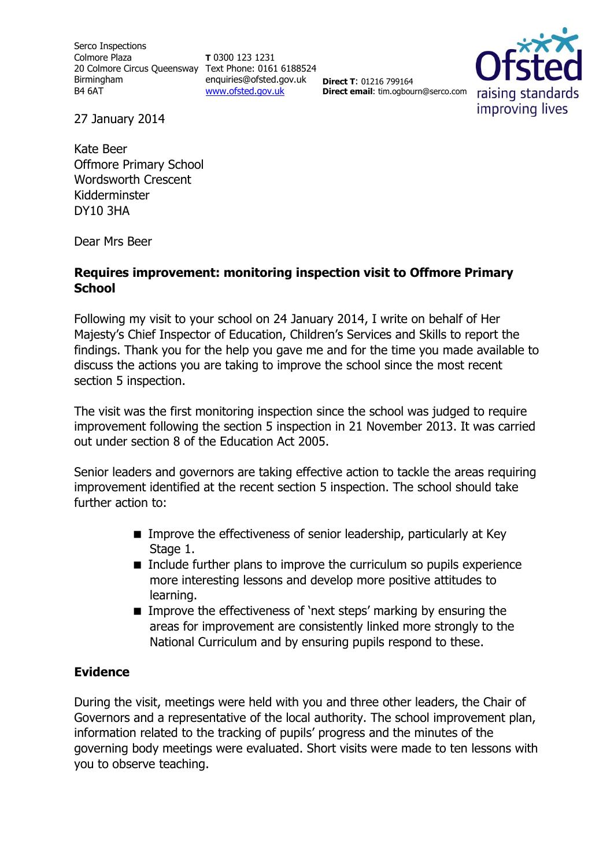Serco Inspections Colmore Plaza 20 Colmore Circus Queensway Text Phone: 0161 6188524 Birmingham B4 6AT

**T** 0300 123 1231 enquiries@ofsted.gov.uk [www.ofsted.gov.uk](http://www.ofsted.gov.uk/)

**Direct T**: 01216 799164 **Direct email**: tim.ogbourn@serco.com



27 January 2014

Kate Beer Offmore Primary School Wordsworth Crescent Kidderminster DY10 3HA

Dear Mrs Beer

# **Requires improvement: monitoring inspection visit to Offmore Primary School**

Following my visit to your school on 24 January 2014, I write on behalf of Her Majesty's Chief Inspector of Education, Children's Services and Skills to report the findings. Thank you for the help you gave me and for the time you made available to discuss the actions you are taking to improve the school since the most recent section 5 inspection.

The visit was the first monitoring inspection since the school was judged to require improvement following the section 5 inspection in 21 November 2013. It was carried out under section 8 of the Education Act 2005.

Senior leaders and governors are taking effective action to tackle the areas requiring improvement identified at the recent section 5 inspection. The school should take further action to:

- **IMPROVE THE EFFECT IVERSES OF SENIOR LEADERSHIP, particularly at Key** Stage 1.
- Include further plans to improve the curriculum so pupils experience more interesting lessons and develop more positive attitudes to learning.
- **IMPROVE THE EFFECT IVELESS OF 'next steps' marking by ensuring the** areas for improvement are consistently linked more strongly to the National Curriculum and by ensuring pupils respond to these.

# **Evidence**

During the visit, meetings were held with you and three other leaders, the Chair of Governors and a representative of the local authority. The school improvement plan, information related to the tracking of pupils' progress and the minutes of the governing body meetings were evaluated. Short visits were made to ten lessons with you to observe teaching.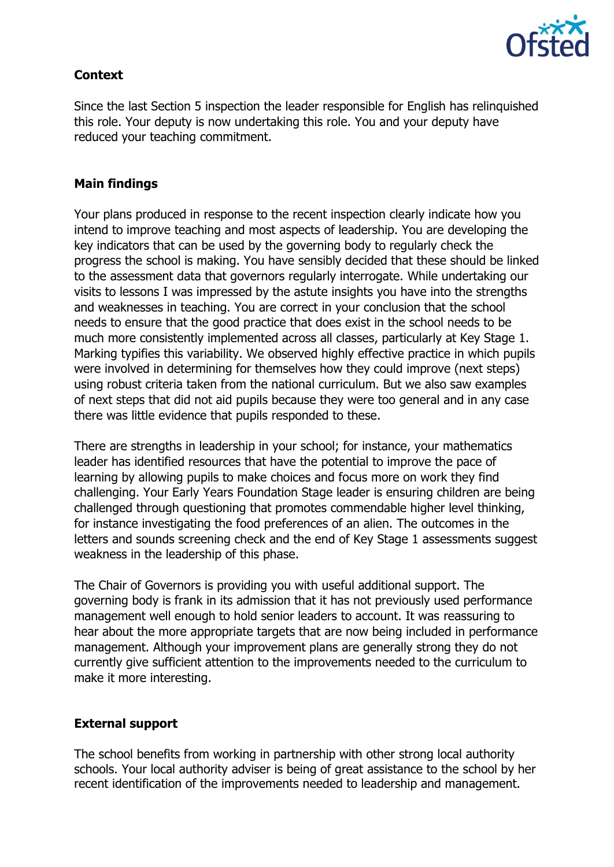

# **Context**

Since the last Section 5 inspection the leader responsible for English has relinquished this role. Your deputy is now undertaking this role. You and your deputy have reduced your teaching commitment.

### **Main findings**

Your plans produced in response to the recent inspection clearly indicate how you intend to improve teaching and most aspects of leadership. You are developing the key indicators that can be used by the governing body to regularly check the progress the school is making. You have sensibly decided that these should be linked to the assessment data that governors regularly interrogate. While undertaking our visits to lessons I was impressed by the astute insights you have into the strengths and weaknesses in teaching. You are correct in your conclusion that the school needs to ensure that the good practice that does exist in the school needs to be much more consistently implemented across all classes, particularly at Key Stage 1. Marking typifies this variability. We observed highly effective practice in which pupils were involved in determining for themselves how they could improve (next steps) using robust criteria taken from the national curriculum. But we also saw examples of next steps that did not aid pupils because they were too general and in any case there was little evidence that pupils responded to these.

There are strengths in leadership in your school; for instance, your mathematics leader has identified resources that have the potential to improve the pace of learning by allowing pupils to make choices and focus more on work they find challenging. Your Early Years Foundation Stage leader is ensuring children are being challenged through questioning that promotes commendable higher level thinking, for instance investigating the food preferences of an alien. The outcomes in the letters and sounds screening check and the end of Key Stage 1 assessments suggest weakness in the leadership of this phase.

The Chair of Governors is providing you with useful additional support. The governing body is frank in its admission that it has not previously used performance management well enough to hold senior leaders to account. It was reassuring to hear about the more appropriate targets that are now being included in performance management. Although your improvement plans are generally strong they do not currently give sufficient attention to the improvements needed to the curriculum to make it more interesting.

# **External support**

The school benefits from working in partnership with other strong local authority schools. Your local authority adviser is being of great assistance to the school by her recent identification of the improvements needed to leadership and management.